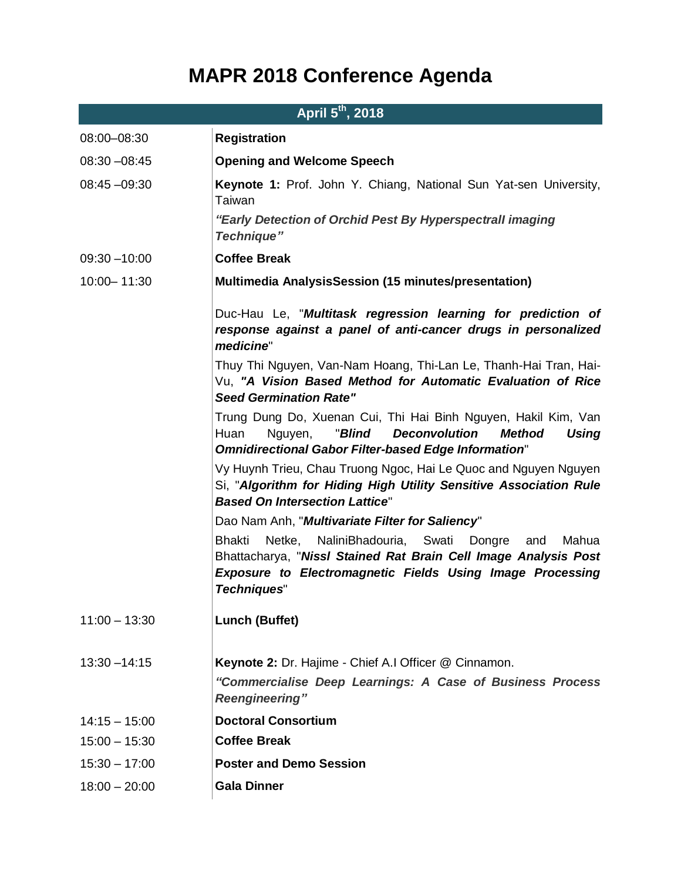## **MAPR 2018 Conference Agenda**

| April 5 <sup>th</sup> , 2018 |                                                                                                                                                                                                                                          |
|------------------------------|------------------------------------------------------------------------------------------------------------------------------------------------------------------------------------------------------------------------------------------|
| 08:00-08:30                  | <b>Registration</b>                                                                                                                                                                                                                      |
| $08:30 - 08:45$              | <b>Opening and Welcome Speech</b>                                                                                                                                                                                                        |
| $08:45 - 09:30$              | Keynote 1: Prof. John Y. Chiang, National Sun Yat-sen University,<br>Taiwan                                                                                                                                                              |
|                              | "Early Detection of Orchid Pest By Hyperspectrall imaging<br><b>Technique"</b>                                                                                                                                                           |
| $09:30 - 10:00$              | <b>Coffee Break</b>                                                                                                                                                                                                                      |
| 10:00-11:30                  | <b>Multimedia AnalysisSession (15 minutes/presentation)</b>                                                                                                                                                                              |
|                              | Duc-Hau Le, "Multitask regression learning for prediction of<br>response against a panel of anti-cancer drugs in personalized<br>medicine"                                                                                               |
|                              | Thuy Thi Nguyen, Van-Nam Hoang, Thi-Lan Le, Thanh-Hai Tran, Hai-<br>Vu, "A Vision Based Method for Automatic Evaluation of Rice<br><b>Seed Germination Rate"</b>                                                                         |
|                              | Trung Dung Do, Xuenan Cui, Thi Hai Binh Nguyen, Hakil Kim, Van<br>"Blind<br><b>Deconvolution</b><br>Huan<br>Nguyen,<br><b>Method</b><br>Using<br><b>Omnidirectional Gabor Filter-based Edge Information"</b>                             |
|                              | Vy Huynh Trieu, Chau Truong Ngoc, Hai Le Quoc and Nguyen Nguyen<br>Si, "Algorithm for Hiding High Utility Sensitive Association Rule<br><b>Based On Intersection Lattice"</b>                                                            |
|                              | Dao Nam Anh, " <i>Multivariate Filter for Saliency</i> "                                                                                                                                                                                 |
|                              | <b>Bhakti</b><br>Netke,<br>NaliniBhadouria, Swati<br>Dongre<br>Mahua<br>and<br>Bhattacharya, "Nissl Stained Rat Brain Cell Image Analysis Post<br><b>Exposure to Electromagnetic Fields Using Image Processing</b><br><b>Techniques"</b> |
| $11:00 - 13:30$              | <b>Lunch (Buffet)</b>                                                                                                                                                                                                                    |
| $13:30 - 14:15$              | Keynote 2: Dr. Hajime - Chief A.I Officer @ Cinnamon.<br>"Commercialise Deep Learnings: A Case of Business Process<br><b>Reengineering"</b>                                                                                              |
| $14:15 - 15:00$              | <b>Doctoral Consortium</b>                                                                                                                                                                                                               |
| $15:00 - 15:30$              | <b>Coffee Break</b>                                                                                                                                                                                                                      |
| $15:30 - 17:00$              | <b>Poster and Demo Session</b>                                                                                                                                                                                                           |
| $18:00 - 20:00$              | <b>Gala Dinner</b>                                                                                                                                                                                                                       |